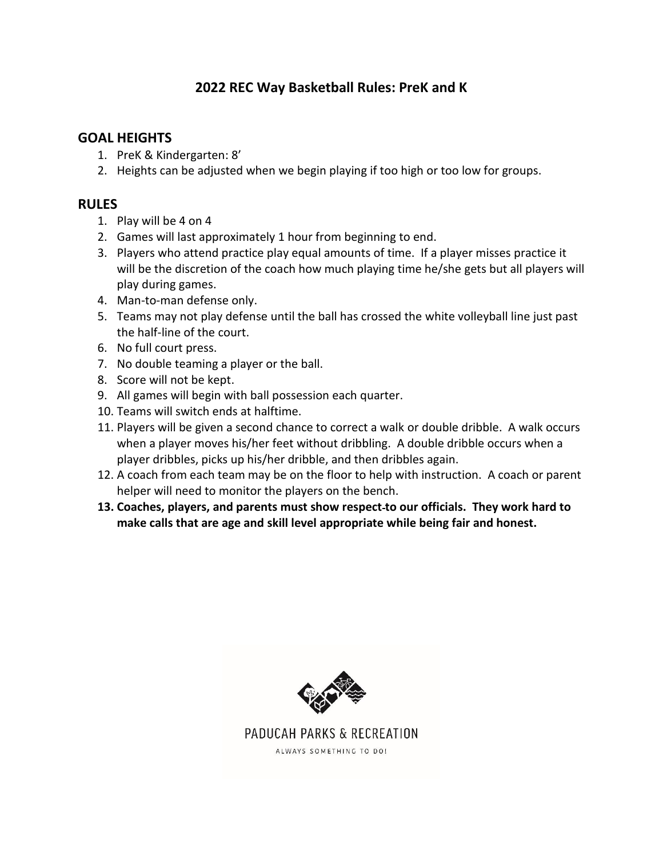## **2022 REC Way Basketball Rules: PreK and K**

## **GOAL HEIGHTS**

- 1. PreK & Kindergarten: 8'
- 2. Heights can be adjusted when we begin playing if too high or too low for groups.

## **RULES**

- 1. Play will be 4 on 4
- 2. Games will last approximately 1 hour from beginning to end.
- 3. Players who attend practice play equal amounts of time. If a player misses practice it will be the discretion of the coach how much playing time he/she gets but all players will play during games.
- 4. Man-to-man defense only.
- 5. Teams may not play defense until the ball has crossed the white volleyball line just past the half-line of the court.
- 6. No full court press.
- 7. No double teaming a player or the ball.
- 8. Score will not be kept.
- 9. All games will begin with ball possession each quarter.
- 10. Teams will switch ends at halftime.
- 11. Players will be given a second chance to correct a walk or double dribble. A walk occurs when a player moves his/her feet without dribbling. A double dribble occurs when a player dribbles, picks up his/her dribble, and then dribbles again.
- 12. A coach from each team may be on the floor to help with instruction. A coach or parent helper will need to monitor the players on the bench.
- **13. Coaches, players, and parents must show respect to our officials. They work hard to make calls that are age and skill level appropriate while being fair and honest.**



PADUCAH PARKS & RECREATION ALWAYS SOMETHING TO DO!